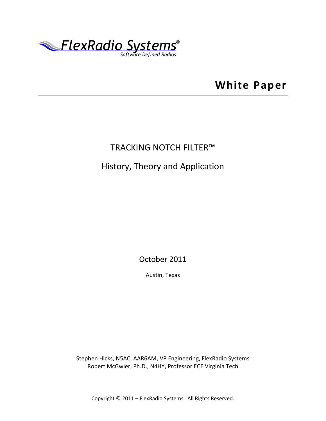

**White Paper**

## TRACKING NOTCH FILTER™

# History, Theory and Application

October 2011

Austin, Texas

Stephen Hicks, N5AC, AAR6AM, VP Engineering, FlexRadio Systems Robert McGwier, Ph.D., N4HY, Professor ECE Virginia Tech

Copyright © 2011 – FlexRadio Systems. All Rights Reserved.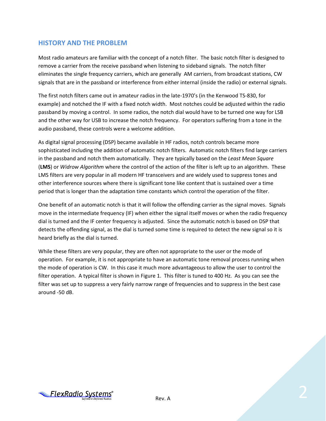## **HISTORY AND THE PROBLEM**

Most radio amateurs are familiar with the concept of a notch filter. The basic notch filter is designed to remove a carrier from the receive passband when listening to sideband signals. The notch filter eliminates the single frequency carriers, which are generally AM carriers, from broadcast stations, CW signals that are in the passband or interference from either internal (inside the radio) or external signals.

The first notch filters came out in amateur radios in the late-1970's (in the Kenwood TS-830, for example) and notched the IF with a fixed notch width. Most notches could be adjusted within the radio passband by moving a control. In some radios, the notch dial would have to be turned one way for LSB and the other way for USB to increase the notch frequency. For operators suffering from a tone in the audio passband, these controls were a welcome addition.

As digital signal processing (DSP) became available in HF radios, notch controls became more sophisticated including the addition of automatic notch filters. Automatic notch filters find large carriers in the passband and notch them automatically. They are typically based on the *Least Mean Square* (**LMS**) or *Widrow Algorithm* where the control of the action of the filter is left up to an algorithm. These LMS filters are very popular in all modern HF transceivers and are widely used to suppress tones and other interference sources where there is significant tone like content that is sustained over a time period that is longer than the adaptation time constants which control the operation of the filter.

One benefit of an automatic notch is that it will follow the offending carrier as the signal moves. Signals move in the intermediate frequency (IF) when either the signal itself moves or when the radio frequency dial is turned and the IF center frequency is adjusted. Since the automatic notch is based on DSP that detects the offending signal, as the dial is turned some time is required to detect the new signal so it is heard briefly as the dial is turned.

While these filters are very popular, they are often not appropriate to the user or the mode of operation. For example, it is not appropriate to have an automatic tone removal process running when the mode of operation is CW. In this case it much more advantageous to allow the user to control the filter operation. A typical filter is shown in Figure 1. This filter is tuned to 400 Hz. As you can see the filter was set up to suppress a very fairly narrow range of frequencies and to suppress in the best case around -50 dB.

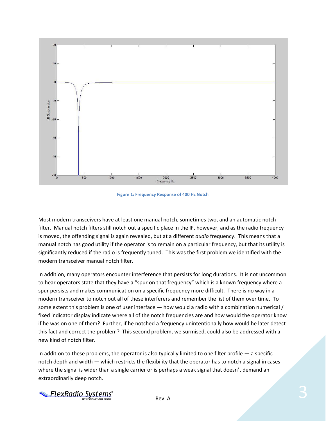

**Figure 1: Frequency Response of 400 Hz Notch**

Most modern transceivers have at least one manual notch, sometimes two, and an automatic notch filter. Manual notch filters still notch out a specific place in the IF, however, and as the radio frequency is moved, the offending signal is again revealed, but at a different *audio* frequency. This means that a manual notch has good utility if the operator is to remain on a particular frequency, but that its utility is significantly reduced if the radio is frequently tuned. This was the first problem we identified with the modern transceiver manual notch filter.

In addition, many operators encounter interference that persists for long durations. It is not uncommon to hear operators state that they have a "spur on that frequency" which is a known frequency where a spur persists and makes communication on a specific frequency more difficult. There is no way in a modern transceiver to notch out all of these interferers and remember the list of them over time. To some extent this problem is one of user interface — how would a radio with a combination numerical / fixed indicator display indicate where all of the notch frequencies are and how would the operator know if he was on one of them? Further, if he notched a frequency unintentionally how would he later detect this fact and correct the problem? This second problem, we surmised, could also be addressed with a new kind of notch filter.

In addition to these problems, the operator is also typically limited to one filter profile — a specific notch depth and width — which restricts the flexibility that the operator has to notch a signal in cases where the signal is wider than a single carrier or is perhaps a weak signal that doesn't demand an extraordinarily deep notch.

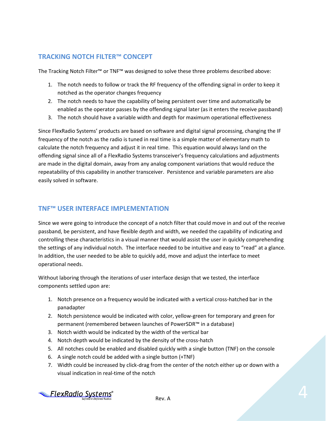## **TRACKING NOTCH FILTER™ CONCEPT**

The Tracking Notch Filter™ or TNF™ was designed to solve these three problems described above:

- 1. The notch needs to follow or track the RF frequency of the offending signal in order to keep it notched as the operator changes frequency
- 2. The notch needs to have the capability of being persistent over time and automatically be enabled as the operator passes by the offending signal later (as it enters the receive passband)
- 3. The notch should have a variable width and depth for maximum operational effectiveness

Since FlexRadio Systems' products are based on software and digital signal processing, changing the IF frequency of the notch as the radio is tuned in real time is a simple matter of elementary math to calculate the notch frequency and adjust it in real time. This equation would always land on the offending signal since all of a FlexRadio Systems transceiver's frequency calculations and adjustments are made in the digital domain, away from any analog component variations that would reduce the repeatability of this capability in another transceiver. Persistence and variable parameters are also easily solved in software.

#### **TNF™ USER INTERFACE IMPLEMENTATION**

Since we were going to introduce the concept of a notch filter that could move in and out of the receive passband, be persistent, and have flexible depth and width, we needed the capability of indicating and controlling these characteristics in a visual manner that would assist the user in quickly comprehending the settings of any individual notch. The interface needed to be intuitive and easy to "read" at a glance. In addition, the user needed to be able to quickly add, move and adjust the interface to meet operational needs.

Without laboring through the iterations of user interface design that we tested, the interface components settled upon are:

- 1. Notch presence on a frequency would be indicated with a vertical cross-hatched bar in the panadapter
- 2. Notch persistence would be indicated with color, yellow-green for temporary and green for permanent (remembered between launches of PowerSDR™ in a database)
- 3. Notch width would be indicated by the width of the vertical bar
- 4. Notch depth would be indicated by the density of the cross-hatch
- 5. All notches could be enabled and disabled quickly with a single button (TNF) on the console
- 6. A single notch could be added with a single button (+TNF)
- 7. Width could be increased by click-drag from the center of the notch either up or down with a visual indication in real-time of the notch

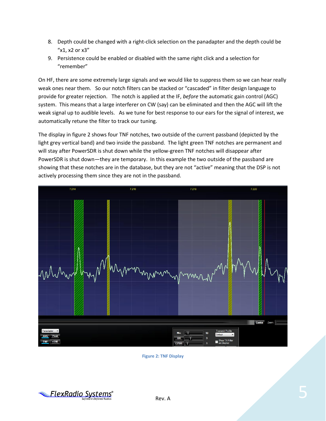- 8. Depth could be changed with a right-click selection on the panadapter and the depth could be "x1, x2 or x3"
- 9. Persistence could be enabled or disabled with the same right click and a selection for "remember"

On HF, there are some extremely large signals and we would like to suppress them so we can hear really weak ones near them. So our notch filters can be stacked or "cascaded" in filter design language to provide for greater rejection. The notch is applied at the IF, *before* the automatic gain control (AGC) system. This means that a large interferer on CW (say) can be eliminated and then the AGC will lift the weak signal up to audible levels. As we tune for best response to our ears for the signal of interest, we automatically retune the filter to track our tuning.

The display in figure 2 shows four TNF notches, two outside of the current passband (depicted by the light grey vertical band) and two inside the passband. The light green TNF notches are permanent and will stay after PowerSDR is shut down while the yellow-green TNF notches will disappear after PowerSDR is shut down—they are temporary. In this example the two outside of the passband are showing that these notches are in the database, but they are not "active" meaning that the DSP is not actively processing them since they are not in the passband.



**Figure 2: TNF Display**

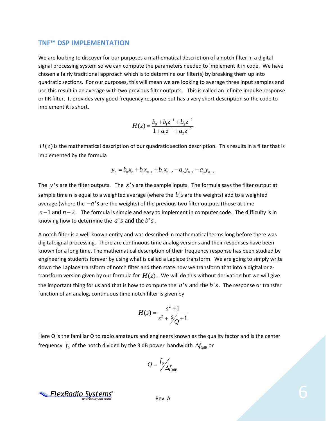#### **TNF™ DSP IMPLEMENTATION**

We are looking to discover for our purposes a mathematical description of a notch filter in a digital signal processing system so we can compute the parameters needed to implement it in code. We have chosen a fairly traditional approach which is to determine our filter(s) by breaking them up into quadratic sections. For our purposes, this will mean we are looking to average three input samples and use this result in an average with two previous filter outputs. This is called an infinite impulse response or IIR filter. It provides very good frequency response but has a very short description so the code to implement it is short.

$$
H(z) = \frac{b_0 + b_1 z^{-1} + b_2 z^{-2}}{1 + a_1 z^{-1} + a_2 z^{-2}}
$$

 $H(z)$  is the mathematical description of our quadratic section description. This results in a filter that is implemented by the formula

$$
y_n = b_0 x_n + b_1 x_{n-1} + b_2 x_{n-2} - a_2 y_{n-1} - a_3 y_{n-2}
$$

The  $y$ 's are the filter outputs. The  $x$ 's are the sample inputs. The formula says the filter output at sample time n is equal to a weighted average (where the  $b$ 's are the weights) add to a weighted average (where the  $-a$ 's are the weights) of the previous two filter outputs (those at time  $n-1$  and  $n-2$ . The formula is simple and easy to implement in computer code. The difficulty is in knowing how to determine the  $\,a\, 's\,$  and the  $b\, 's\,.$ 

A notch filter is a well-known entity and was described in mathematical terms long before there was digital signal processing. There are continuous time analog versions and their responses have been known for a long time. The mathematical description of their frequency response has been studied by engineering students forever by using what is called a Laplace transform. We are going to simply write down the Laplace transform of notch filter and then state how we transform that into a digital or ztransform version given by our formula for  $H(z)$  . We will do this without derivation but we will give the important thing for us and that is how to compute the  $a$ 's and the  $b$ 's . The response or transfer function of an analog, continuous time notch filter is given by

$$
H(s) = \frac{s^2 + 1}{s^2 + s'_Q + 1}
$$

Here Q is the familiar Q to radio amateurs and engineers known as the quality factor and is the center frequency  $f_0$  of the notch divided by the 3 dB power bandwidth  $\Delta\! f_{\rm 3dB}$  or

$$
Q = \frac{f_0}{\Delta f_{3dB}}
$$

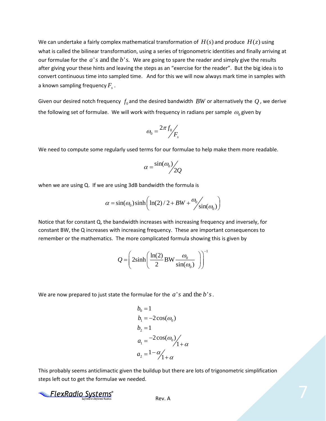We can undertake a fairly complex mathematical transformation of  $H(s)$  and produce  $H(z)$  using what is called the bilinear transformation, using a series of trigonometric identities and finally arriving at our formulae for the  $a$ 's and the  $b$ 's. We are going to spare the reader and simply give the results after giving your these hints and leaving the steps as an "exercise for the reader". But the big idea is to convert continuous time into sampled time. And for this we will now always mark time in samples with a known sampling frequency *F s* .

Given our desired notch frequency  $f_0$  and the desired bandwidth  $BW$  or alternatively the  $Q$  , we derive the following set of formulae. We will work with frequency in radians per sample  $\omega_{\textrm{0}}$  given by

$$
\omega_{\rm 0} = \frac{2\pi f_{\rm 0}}{F_{\rm s}}
$$

We need to compute some regularly used terms for our formulae to help make them more readable.

$$
\alpha = \frac{\sin(\omega_0)}{2Q}
$$

when we are using Q. If we are using 3dB bandwidth the formula is

$$
\alpha = \sin(\omega_0) \sinh\left(\ln(2)/2 + BW + \frac{\omega_0}{\sin(\omega_0)}\right)
$$

Notice that for constant Q, the bandwidth increases with increasing frequency and inversely, for constant BW, the Q increases with increasing frequency. These are important consequences to remember or the mathematics. The more complicated formula showing this is given by

$$
Q = \left(2\sinh\left(\frac{\ln(2)}{2}\,\text{BW}\,\frac{\omega_0}{\sin(\omega_0)}\,\,\right)\right)^{-1}
$$

We are now prepared to just state the formulae for the  $a's$  and the  $b's$ .

$$
b_0 = 1
$$
  
\n
$$
b_1 = -2\cos(\omega_0)
$$
  
\n
$$
b_2 = 1
$$
  
\n
$$
a_1 = \frac{-2\cos(\omega_0)}{1 + \alpha}
$$
  
\n
$$
a_2 = 1 - \frac{\alpha}{1 + \alpha}
$$

This probably seems anticlimactic given the buildup but there are lots of trigonometric simplification steps left out to get the formulae we needed.